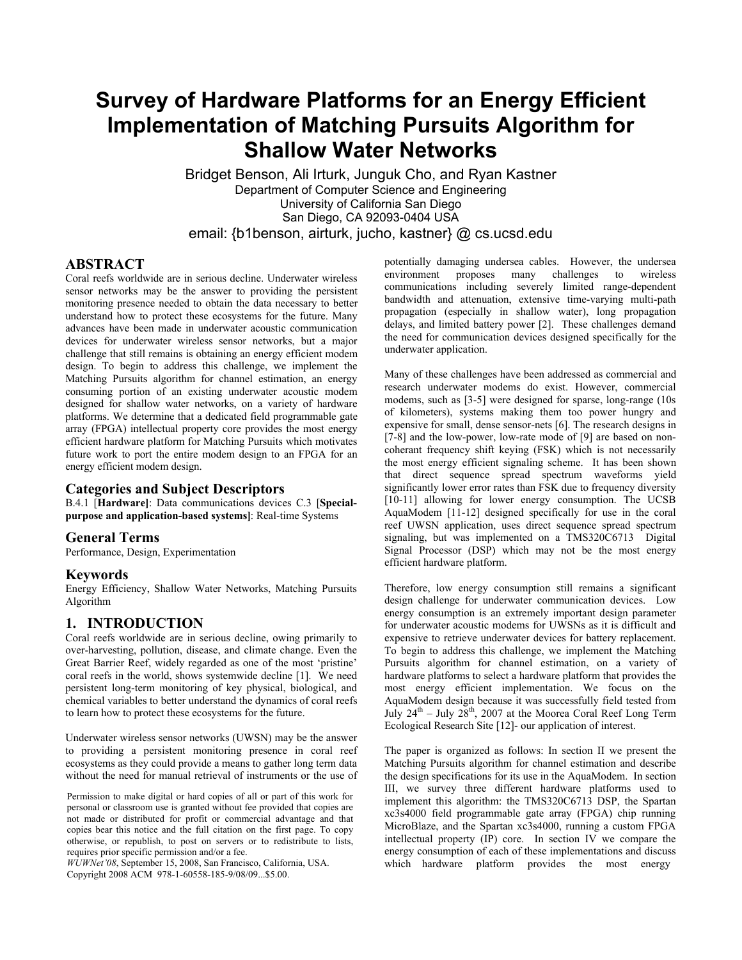# **Survey of Hardware Platforms for an Energy Efficient Implementation of Matching Pursuits Algorithm for Shallow Water Networks**

Bridget Benson, Ali Irturk, Junguk Cho, and Ryan Kastner Department of Computer Science and Engineering University of California San Diego San Diego, CA 92093-0404 USA email: {b1benson, airturk, jucho, kastner} @ cs.ucsd.edu

## **ABSTRACT**

Coral reefs worldwide are in serious decline. Underwater wireless sensor networks may be the answer to providing the persistent monitoring presence needed to obtain the data necessary to better understand how to protect these ecosystems for the future. Many advances have been made in underwater acoustic communication devices for underwater wireless sensor networks, but a major challenge that still remains is obtaining an energy efficient modem design. To begin to address this challenge, we implement the Matching Pursuits algorithm for channel estimation, an energy consuming portion of an existing underwater acoustic modem designed for shallow water networks, on a variety of hardware platforms. We determine that a dedicated field programmable gate array (FPGA) intellectual property core provides the most energy efficient hardware platform for Matching Pursuits which motivates future work to port the entire modem design to an FPGA for an energy efficient modem design.

## **Categories and Subject Descriptors**

B.4.1 [**Hardware]**: Data communications devices C.3 [**Specialpurpose and application-based systems]**: Real-time Systems

## **General Terms**

Performance, Design, Experimentation

## **Keywords**

Energy Efficiency, Shallow Water Networks, Matching Pursuits Algorithm

## **1. INTRODUCTION**

Coral reefs worldwide are in serious decline, owing primarily to over-harvesting, pollution, disease, and climate change. Even the Great Barrier Reef, widely regarded as one of the most 'pristine' coral reefs in the world, shows systemwide decline [1]. We need persistent long-term monitoring of key physical, biological, and chemical variables to better understand the dynamics of coral reefs to learn how to protect these ecosystems for the future.

Underwater wireless sensor networks (UWSN) may be the answer to providing a persistent monitoring presence in coral reef ecosystems as they could provide a means to gather long term data without the need for manual retrieval of instruments or the use of

Permission to make digital or hard copies of all or part of this work for personal or classroom use is granted without fee provided that copies are not made or distributed for profit or commercial advantage and that copies bear this notice and the full citation on the first page. To copy otherwise, or republish, to post on servers or to redistribute to lists, requires prior specific permission and/or a fee.

*WUWNet'08*, September 15, 2008, San Francisco, California, USA. Copyright 2008 ACM 978-1-60558-185-9/08/09...\$5.00.

potentially damaging undersea cables. However, the undersea environment proposes many challenges to wireless communications including severely limited range-dependent bandwidth and attenuation, extensive time-varying multi-path propagation (especially in shallow water), long propagation delays, and limited battery power [2]. These challenges demand the need for communication devices designed specifically for the underwater application.

Many of these challenges have been addressed as commercial and research underwater modems do exist. However, commercial modems, such as [3-5] were designed for sparse, long-range (10s of kilometers), systems making them too power hungry and expensive for small, dense sensor-nets [6]. The research designs in [7-8] and the low-power, low-rate mode of [9] are based on noncoherant frequency shift keying (FSK) which is not necessarily the most energy efficient signaling scheme. It has been shown that direct sequence spread spectrum waveforms yield significantly lower error rates than FSK due to frequency diversity [10-11] allowing for lower energy consumption. The UCSB AquaModem [11-12] designed specifically for use in the coral reef UWSN application, uses direct sequence spread spectrum signaling, but was implemented on a TMS320C6713 Digital Signal Processor (DSP) which may not be the most energy efficient hardware platform.

Therefore, low energy consumption still remains a significant design challenge for underwater communication devices. Low energy consumption is an extremely important design parameter for underwater acoustic modems for UWSNs as it is difficult and expensive to retrieve underwater devices for battery replacement. To begin to address this challenge, we implement the Matching Pursuits algorithm for channel estimation, on a variety of hardware platforms to select a hardware platform that provides the most energy efficient implementation. We focus on the AquaModem design because it was successfully field tested from July  $24<sup>th</sup>$  – July  $28<sup>th</sup>$ , 2007 at the Moorea Coral Reef Long Term Ecological Research Site [12]- our application of interest.

The paper is organized as follows: In section II we present the Matching Pursuits algorithm for channel estimation and describe the design specifications for its use in the AquaModem. In section III, we survey three different hardware platforms used to implement this algorithm: the TMS320C6713 DSP, the Spartan xc3s4000 field programmable gate array (FPGA) chip running MicroBlaze, and the Spartan xc3s4000, running a custom FPGA intellectual property (IP) core. In section IV we compare the energy consumption of each of these implementations and discuss which hardware platform provides the most energy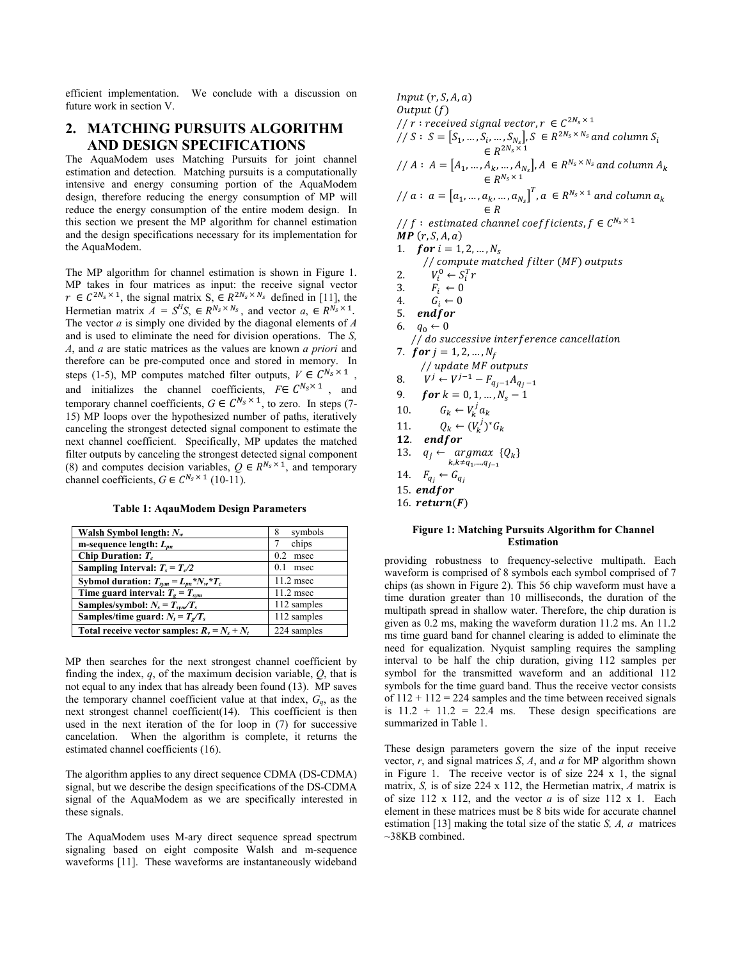efficient implementation. We conclude with a discussion on future work in section V.

## **2. MATCHING PURSUITS ALGORITHM AND DESIGN SPECIFICATIONS**

The AquaModem uses Matching Pursuits for joint channel estimation and detection. Matching pursuits is a computationally intensive and energy consuming portion of the AquaModem design, therefore reducing the energy consumption of MP will reduce the energy consumption of the entire modem design. In this section we present the MP algorithm for channel estimation and the design specifications necessary for its implementation for the AquaModem.

The MP algorithm for channel estimation is shown in Figure 1. MP takes in four matrices as input: the receive signal vector  $r \in C^{2N_s \times 1}$ , the signal matrix  $S_1 \in R^{2N_s \times N_s}$  defined in [11], the Hermetian matrix  $A = S^{H}S$ ,  $\in R^{N_{s} \times N_{s}}$ , and vector  $a_{s} \in R^{N_{s} \times 1}$ . The vector *a* is simply one divided by the diagonal elements of *A* and is used to eliminate the need for division operations. The *S, A*, and *a* are static matrices as the values are known *a priori* and therefore can be pre-computed once and stored in memory. In steps (1-5), MP computes matched filter outputs,  $V \in C^{N_s \times 1}$ , and initializes the channel coefficients,  $F \in C^{N_s \times 1}$ , and temporary channel coefficients,  $G \in C^{N_s \times 1}$ , to zero. In steps (7-15) MP loops over the hypothesized number of paths, iteratively canceling the strongest detected signal component to estimate the next channel coefficient. Specifically, MP updates the matched filter outputs by canceling the strongest detected signal component (8) and computes decision variables,  $Q \in R^{N_s \times 1}$ , and temporary channel coefficients,  $G \in C^{N_s \times 1}$  (10-11).

**Table 1: AqauModem Design Parameters** 

| Walsh Symbol length: $N_{w}$                    | symbols<br>8 |
|-------------------------------------------------|--------------|
| m-sequence length: $L_{nn}$                     | chips        |
| Chip Duration: $T_c$                            | 0.2<br>msec  |
| Sampling Interval: $T_s = T_c/2$                | 0.1<br>msec  |
| Sybmol duration: $T_{sym} = L_{nn} * N_w * T_c$ | $11.2$ msec  |
| Time guard interval: $Te = Tsym$                | $11.2$ msec  |
| Samples/symbol: $N_s = T_{sym}/T_s$             | 112 samples  |
| Samples/time guard: $N_t = T_s/T_s$             | 112 samples  |
| Total receive vector samples: $R_v = N_s + N_t$ | 224 samples  |

MP then searches for the next strongest channel coefficient by finding the index, *q*, of the maximum decision variable, *Q*, that is not equal to any index that has already been found (13). MP saves the temporary channel coefficient value at that index,  $G_q$ , as the next strongest channel coefficient(14). This coefficient is then used in the next iteration of the for loop in (7) for successive cancelation. When the algorithm is complete, it returns the estimated channel coefficients (16).

The algorithm applies to any direct sequence CDMA (DS-CDMA) signal, but we describe the design specifications of the DS-CDMA signal of the AquaModem as we are specifically interested in these signals.

The AquaModem uses M-ary direct sequence spread spectrum signaling based on eight composite Walsh and m-sequence waveforms [11]. These waveforms are instantaneously wideband

 $Input(r, S, A, a)$  $Output(f)$ // r: received signal vector,  $r \in C^{2N_s \times 1}$  $\mathcal{S}/\mathcal{S}: S=[S_1, ..., S_i, ..., S_{N_s}], S \in R^{2N_s \times N_s}$  and column  $S_i$  $\in R^{2N_s\times 1}$ //  $A: A = [A_1, ..., A_k, ..., A_{N_s}]$ ,  $A \in R^{N_s \times N_s}$  and column  $A_k$  $\in R^{N_s \times 1}$ //  $a: a = [a_1, ..., a_k, ..., a_{N_s}]^T$ ,  $a \in R^{N_s \times 1}$  and column  $a_k$  $\in R$ // f: estimated channel coefficients,  $f \in C^{N_s \times 1}$  $MP(r, S, A, a)$ 1. **for**  $i = 1, 2, ..., N_s$ // compute matched filter (MF) outputs 2.  $V_i^0 \leftarrow S_i^T r$ 3.  $F_i \leftarrow 0$ <br>4.  $G_i \leftarrow 0$ 5. endfor // do successive interference cancellation 7.  $for j = 1, 2, ..., N_f$ // update MF outputs 8.  $V^j \leftarrow V^{j-1} - F_{q_j - 1} A_{q_j - 1}$ 9.  $\textbf{for } k = 0, 1, ..., N_s - 1$ 10.  $G_k \leftarrow V_k^j a_k$ 11.  $Q_k \leftarrow (V_k^j)^* G_k$ 12.  $endfor$ 13.  $q_j \leftarrow \underset{k,k \neq q_1, ..., q_{j-1}}{argmax} \{Q_k\}$ 14.  $F_{q_j} \leftarrow G_{q_j}$ 15.  $endfor$ 16. return $(F)$  $G_i \leftarrow 0$ 6.  $q_0 \leftarrow 0$ 

#### **Figure 1: Matching Pursuits Algorithm for Channel Estimation**

providing robustness to frequency-selective multipath. Each waveform is comprised of 8 symbols each symbol comprised of 7 chips (as shown in Figure 2). This 56 chip waveform must have a time duration greater than 10 milliseconds, the duration of the multipath spread in shallow water. Therefore, the chip duration is given as 0.2 ms, making the waveform duration 11.2 ms. An 11.2 ms time guard band for channel clearing is added to eliminate the need for equalization. Nyquist sampling requires the sampling interval to be half the chip duration, giving 112 samples per symbol for the transmitted waveform and an additional 112 symbols for the time guard band. Thus the receive vector consists of  $112 + 112 = 224$  samples and the time between received signals is  $11.2 + 11.2 = 22.4$  ms. These design specifications are summarized in Table 1.

These design parameters govern the size of the input receive vector, *r*, and signal matrices *S*, *A*, and *a* for MP algorithm shown in Figure 1. The receive vector is of size 224 x 1, the signal matrix, *S,* is of size 224 x 112, the Hermetian matrix, *A* matrix is of size 112 x 112, and the vector *a* is of size 112 x 1. Each element in these matrices must be 8 bits wide for accurate channel estimation [13] making the total size of the static *S, A, a* matrices ~38KB combined.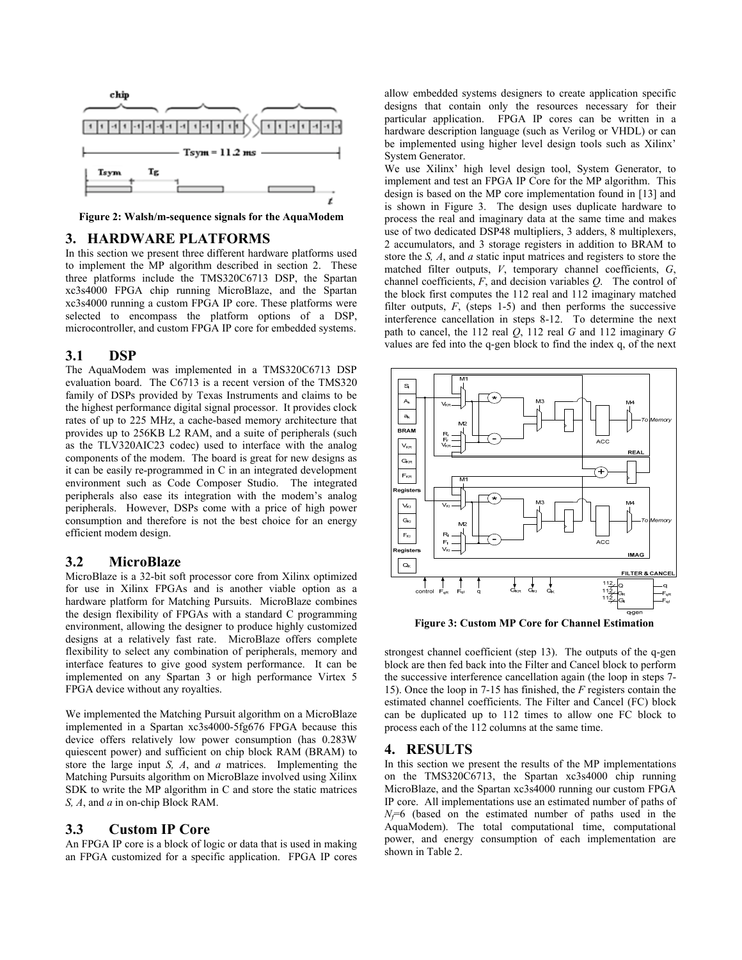

**Figure 2: Walsh/m-sequence signals for the AquaModem** 

## **3. HARDWARE PLATFORMS**

In this section we present three different hardware platforms used to implement the MP algorithm described in section 2. These three platforms include the TMS320C6713 DSP, the Spartan xc3s4000 FPGA chip running MicroBlaze, and the Spartan xc3s4000 running a custom FPGA IP core. These platforms were selected to encompass the platform options of a DSP, microcontroller, and custom FPGA IP core for embedded systems.

#### **3.1 DSP**

The AquaModem was implemented in a TMS320C6713 DSP evaluation board. The C6713 is a recent version of the TMS320 family of DSPs provided by Texas Instruments and claims to be the highest performance digital signal processor. It provides clock rates of up to 225 MHz, a cache-based memory architecture that provides up to 256KB L2 RAM, and a suite of peripherals (such as the TLV320AIC23 codec) used to interface with the analog components of the modem. The board is great for new designs as it can be easily re-programmed in C in an integrated development environment such as Code Composer Studio. The integrated peripherals also ease its integration with the modem's analog peripherals. However, DSPs come with a price of high power consumption and therefore is not the best choice for an energy efficient modem design.

## **3.2 MicroBlaze**

MicroBlaze is a 32-bit soft processor core from Xilinx optimized for use in Xilinx FPGAs and is another viable option as a hardware platform for Matching Pursuits. MicroBlaze combines the design flexibility of FPGAs with a standard C programming environment, allowing the designer to produce highly customized designs at a relatively fast rate. MicroBlaze offers complete flexibility to select any combination of peripherals, memory and interface features to give good system performance. It can be implemented on any Spartan 3 or high performance Virtex 5 FPGA device without any royalties.

We implemented the Matching Pursuit algorithm on a MicroBlaze implemented in a Spartan xc3s4000-5fg676 FPGA because this device offers relatively low power consumption (has 0.283W quiescent power) and sufficient on chip block RAM (BRAM) to store the large input *S, A*, and *a* matrices. Implementing the Matching Pursuits algorithm on MicroBlaze involved using Xilinx SDK to write the MP algorithm in C and store the static matrices *S, A*, and *a* in on-chip Block RAM.

## **3.3 Custom IP Core**

An FPGA IP core is a block of logic or data that is used in making an FPGA customized for a specific application. FPGA IP cores allow embedded systems designers to create application specific designs that contain only the resources necessary for their particular application. FPGA IP cores can be written in a hardware description language (such as Verilog or VHDL) or can be implemented using higher level design tools such as Xilinx' System Generator.

We use Xilinx' high level design tool, System Generator, to implement and test an FPGA IP Core for the MP algorithm. This design is based on the MP core implementation found in [13] and is shown in Figure 3. The design uses duplicate hardware to process the real and imaginary data at the same time and makes use of two dedicated DSP48 multipliers, 3 adders, 8 multiplexers, 2 accumulators, and 3 storage registers in addition to BRAM to store the *S, A*, and *a* static input matrices and registers to store the matched filter outputs, *V*, temporary channel coefficients, *G*, channel coefficients, *F*, and decision variables *Q*. The control of the block first computes the 112 real and 112 imaginary matched filter outputs,  $F$ , (steps 1-5) and then performs the successive interference cancellation in steps 8-12. To determine the next path to cancel, the 112 real *Q*, 112 real *G* and 112 imaginary *G* values are fed into the q-gen block to find the index q, of the next



**Figure 3: Custom MP Core for Channel Estimation**

strongest channel coefficient (step 13). The outputs of the q-gen block are then fed back into the Filter and Cancel block to perform the successive interference cancellation again (the loop in steps 7- 15). Once the loop in 7-15 has finished, the *F* registers contain the estimated channel coefficients. The Filter and Cancel (FC) block can be duplicated up to 112 times to allow one FC block to process each of the 112 columns at the same time.

#### **4. RESULTS**

In this section we present the results of the MP implementations on the TMS320C6713, the Spartan xc3s4000 chip running MicroBlaze, and the Spartan xc3s4000 running our custom FPGA IP core. All implementations use an estimated number of paths of  $N_f=6$  (based on the estimated number of paths used in the AquaModem). The total computational time, computational power, and energy consumption of each implementation are shown in Table 2.